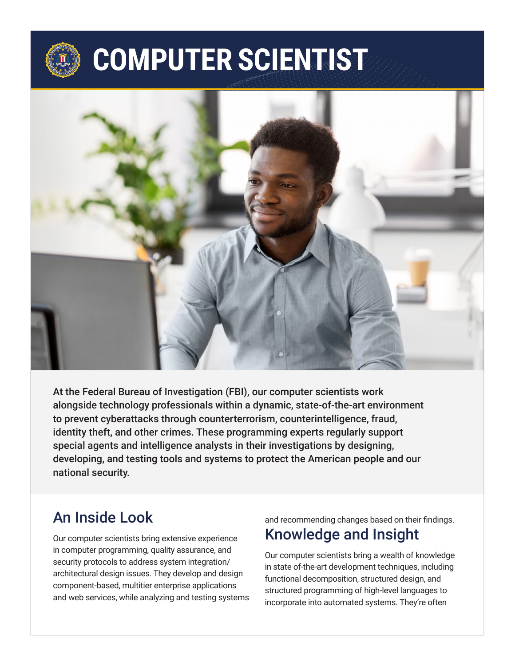# **COMPUTER SCIENTIST**



At the Federal Bureau of Investigation (FBI), our computer scientists work alongside technology professionals within a dynamic, state-of-the-art environment to prevent cyberattacks through counterterrorism, counterintelligence, fraud, identity theft, and other crimes. These programming experts regularly support special agents and intelligence analysts in their investigations by designing, developing, and testing tools and systems to protect the American people and our national security.

#### An Inside Look

Our computer scientists bring extensive experience in computer programming, quality assurance, and security protocols to address system integration/ architectural design issues. They develop and design component-based, multitier enterprise applications and web services, while analyzing and testing systems

#### and recommending changes based on their findings. Knowledge and Insight

Our computer scientists bring a wealth of knowledge in state of-the-art development techniques, including functional decomposition, structured design, and structured programming of high-level languages to incorporate into automated systems. They're often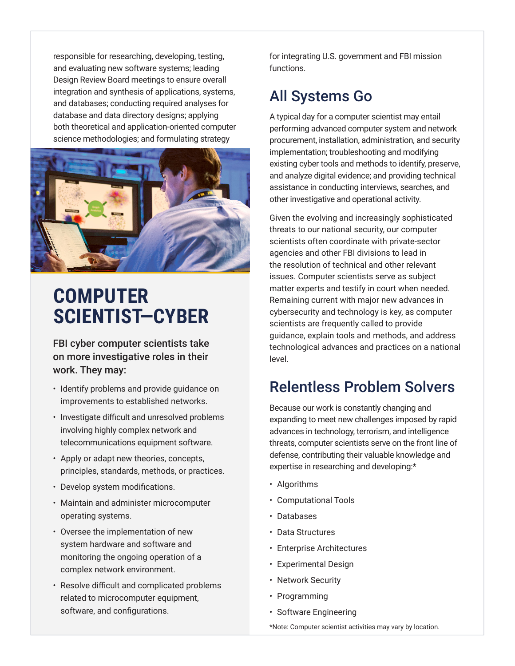responsible for researching, developing, testing, and evaluating new software systems; leading Design Review Board meetings to ensure overall integration and synthesis of applications, systems, and databases; conducting required analyses for database and data directory designs; applying both theoretical and application-oriented computer science methodologies; and formulating strategy



# **COMPUTER SCIENTIST—CYBER**

FBI cyber computer scientists take on more investigative roles in their work. They may:

- Identify problems and provide guidance on improvements to established networks.
- Investigate difficult and unresolved problems involving highly complex network and telecommunications equipment software.
- Apply or adapt new theories, concepts, principles, standards, methods, or practices.
- Develop system modifications.
- Maintain and administer microcomputer operating systems.
- Oversee the implementation of new system hardware and software and monitoring the ongoing operation of a complex network environment.
- Resolve difficult and complicated problems related to microcomputer equipment, software, and configurations.

for integrating U.S. government and FBI mission functions.

## All Systems Go

A typical day for a computer scientist may entail performing advanced computer system and network procurement, installation, administration, and security implementation; troubleshooting and modifying existing cyber tools and methods to identify, preserve, and analyze digital evidence; and providing technical assistance in conducting interviews, searches, and other investigative and operational activity.

Given the evolving and increasingly sophisticated threats to our national security, our computer scientists often coordinate with private-sector agencies and other FBI divisions to lead in the resolution of technical and other relevant issues. Computer scientists serve as subject matter experts and testify in court when needed. Remaining current with major new advances in cybersecurity and technology is key, as computer scientists are frequently called to provide guidance, explain tools and methods, and address technological advances and practices on a national level.

## Relentless Problem Solvers

Because our work is constantly changing and expanding to meet new challenges imposed by rapid advances in technology, terrorism, and intelligence threats, computer scientists serve on the front line of defense, contributing their valuable knowledge and expertise in researching and developing:\*

- Algorithms
- Computational Tools
- Databases
- Data Structures
- Enterprise Architectures
- Experimental Design
- Network Security
- Programming
- Software Engineering

\*Note: Computer scientist activities may vary by location.